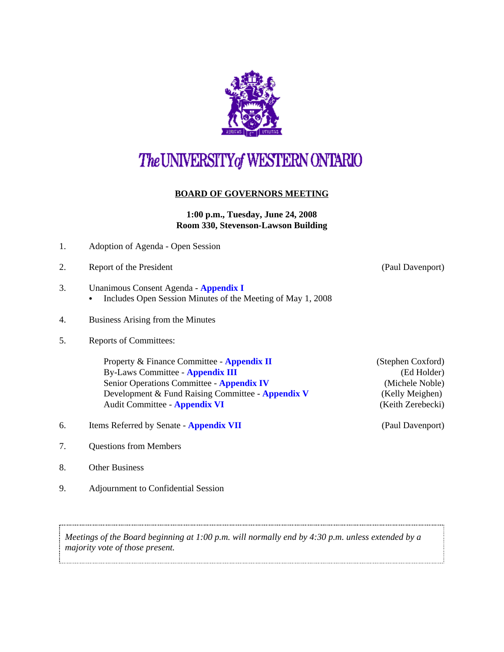

# The UNIVERSITY of WESTERN ONTARIO

## **BOARD OF GOVERNORS MEETING**

#### **1:00 p.m., Tuesday, June 24, 2008 Room 330, Stevenson-Lawson Building**

- 1. Adoption of Agenda Open Session
- 2. Report of the President (Paul Davenport)
- 3. Unanimous Consent Agenda **[Appendix I](http://www.uwo.ca/univsec/board/minutes/2008/r0806consent.pdf)** 
	- Includes Open Session Minutes of the Meeting of May 1, 2008
- 4. Business Arising from the Minutes
- 5. Reports of Committees:

Property & Finance Committee - **[Appendix II](http://www.uwo.ca/univsec/board/minutes/2008/r0806pf.pdf)** (Stephen Coxford) By-Laws Committee - **[Appendix III](http://www.uwo.ca/univsec/board/minutes/2008/r0806bylaws.pdf)** (Ed Holder) Senior Operations Committee - **[Appendix IV](http://www.uwo.ca/univsec/board/minutes/2008/r0806srops.pdf)** (Michele Noble) Development & Fund Raising Committee - **[Appendix V](http://www.uwo.ca/univsec/board/minutes/2008/r0806dfr.pdf)** (Kelly Meighen) Audit Committee - **[Appendix VI](http://www.uwo.ca/univsec/board/minutes/2008/r0806aud.pdf)** (Keith Zerebecki)

- 6. Items Referred by Senate **[Appendix VII](http://www.uwo.ca/univsec/board/minutes/2008/r0806sen.pdf)** (Paul Davenport)
- 7. Questions from Members
- 8. Other Business
- 9. Adjournment to Confidential Session

*Meetings of the Board beginning at 1:00 p.m. will normally end by 4:30 p.m. unless extended by a majority vote of those present.*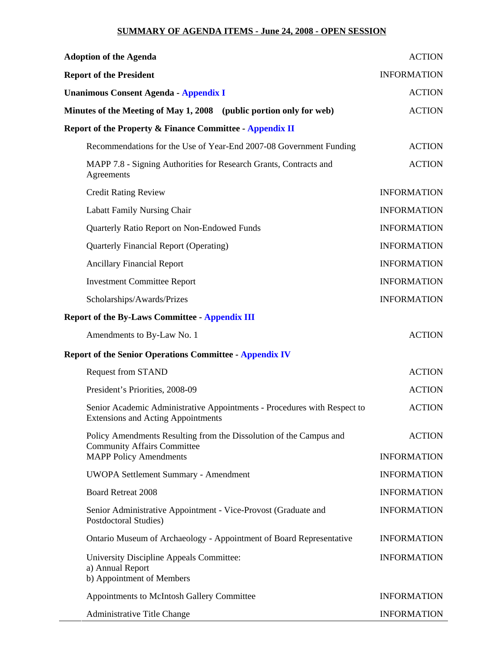### **SUMMARY OF AGENDA ITEMS - June 24, 2008 - OPEN SESSION**

| <b>Adoption of the Agenda</b>                                                                                         | <b>ACTION</b>      |
|-----------------------------------------------------------------------------------------------------------------------|--------------------|
| <b>Report of the President</b>                                                                                        | <b>INFORMATION</b> |
| <b>Unanimous Consent Agenda - Appendix I</b>                                                                          | <b>ACTION</b>      |
| Minutes of the Meeting of May 1, 2008 (public portion only for web)                                                   | <b>ACTION</b>      |
| <b>Report of the Property &amp; Finance Committee - Appendix II</b>                                                   |                    |
| Recommendations for the Use of Year-End 2007-08 Government Funding                                                    | <b>ACTION</b>      |
| MAPP 7.8 - Signing Authorities for Research Grants, Contracts and<br>Agreements                                       | <b>ACTION</b>      |
| <b>Credit Rating Review</b>                                                                                           | <b>INFORMATION</b> |
| Labatt Family Nursing Chair                                                                                           | <b>INFORMATION</b> |
| Quarterly Ratio Report on Non-Endowed Funds                                                                           | <b>INFORMATION</b> |
| <b>Quarterly Financial Report (Operating)</b>                                                                         | <b>INFORMATION</b> |
| <b>Ancillary Financial Report</b>                                                                                     | <b>INFORMATION</b> |
| <b>Investment Committee Report</b>                                                                                    | <b>INFORMATION</b> |
| Scholarships/Awards/Prizes                                                                                            | <b>INFORMATION</b> |
| <b>Report of the By-Laws Committee - Appendix III</b>                                                                 |                    |
| Amendments to By-Law No. 1                                                                                            | <b>ACTION</b>      |
| <b>Report of the Senior Operations Committee - Appendix IV</b>                                                        |                    |
| <b>Request from STAND</b>                                                                                             | <b>ACTION</b>      |
| President's Priorities, 2008-09                                                                                       | <b>ACTION</b>      |
| Senior Academic Administrative Appointments - Procedures with Respect to<br><b>Extensions and Acting Appointments</b> | <b>ACTION</b>      |
| Policy Amendments Resulting from the Dissolution of the Campus and<br><b>Community Affairs Committee</b>              | <b>ACTION</b>      |
| <b>MAPP Policy Amendments</b>                                                                                         | <b>INFORMATION</b> |
| UWOPA Settlement Summary - Amendment                                                                                  | <b>INFORMATION</b> |
| <b>Board Retreat 2008</b>                                                                                             | <b>INFORMATION</b> |
| Senior Administrative Appointment - Vice-Provost (Graduate and<br>Postdoctoral Studies)                               | <b>INFORMATION</b> |
| Ontario Museum of Archaeology - Appointment of Board Representative                                                   | <b>INFORMATION</b> |
| University Discipline Appeals Committee:<br>a) Annual Report<br>b) Appointment of Members                             | <b>INFORMATION</b> |
| Appointments to McIntosh Gallery Committee                                                                            | <b>INFORMATION</b> |
| Administrative Title Change                                                                                           | <b>INFORMATION</b> |